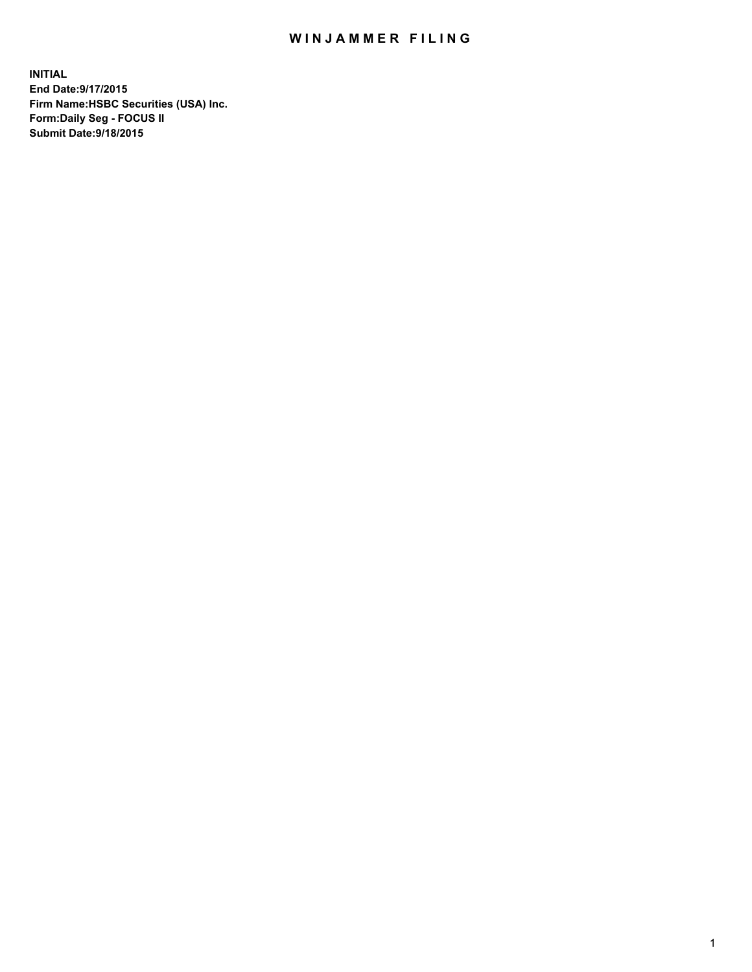## WIN JAMMER FILING

**INITIAL End Date:9/17/2015 Firm Name:HSBC Securities (USA) Inc. Form:Daily Seg - FOCUS II Submit Date:9/18/2015**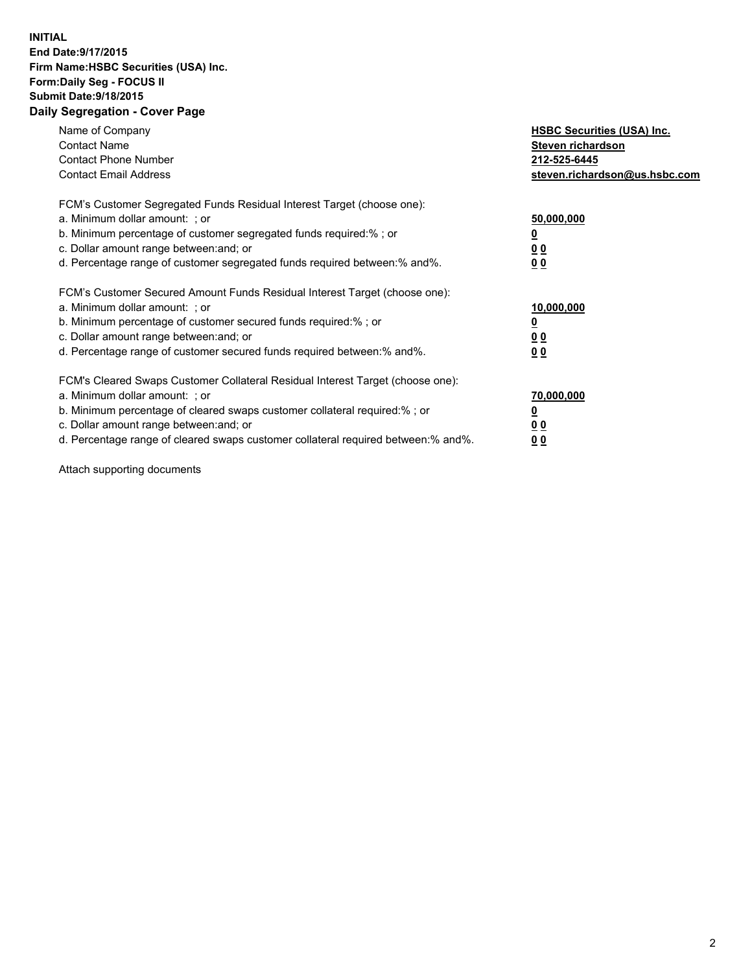## **INITIAL End Date:9/17/2015 Firm Name:HSBC Securities (USA) Inc. Form:Daily Seg - FOCUS II Submit Date:9/18/2015 Daily Segregation - Cover Page**

| Name of Company<br><b>Contact Name</b><br><b>Contact Phone Number</b><br><b>Contact Email Address</b>                                                                                                                                                                                                                         | <b>HSBC Securities (USA) Inc.</b><br>Steven richardson<br>212-525-6445<br>steven.richardson@us.hsbc.com |
|-------------------------------------------------------------------------------------------------------------------------------------------------------------------------------------------------------------------------------------------------------------------------------------------------------------------------------|---------------------------------------------------------------------------------------------------------|
| FCM's Customer Segregated Funds Residual Interest Target (choose one):<br>a. Minimum dollar amount: ; or<br>b. Minimum percentage of customer segregated funds required:% ; or<br>c. Dollar amount range between: and; or<br>d. Percentage range of customer segregated funds required between: % and %.                      | 50,000,000<br>0 <sub>0</sub><br>00                                                                      |
| FCM's Customer Secured Amount Funds Residual Interest Target (choose one):<br>a. Minimum dollar amount: ; or<br>b. Minimum percentage of customer secured funds required:%; or<br>c. Dollar amount range between: and; or<br>d. Percentage range of customer secured funds required between: % and %.                         | 10,000,000<br>00<br>00                                                                                  |
| FCM's Cleared Swaps Customer Collateral Residual Interest Target (choose one):<br>a. Minimum dollar amount: ; or<br>b. Minimum percentage of cleared swaps customer collateral required:%; or<br>c. Dollar amount range between: and; or<br>d. Percentage range of cleared swaps customer collateral required between:% and%. | 70,000,000<br>0 <sub>0</sub><br>00                                                                      |

Attach supporting documents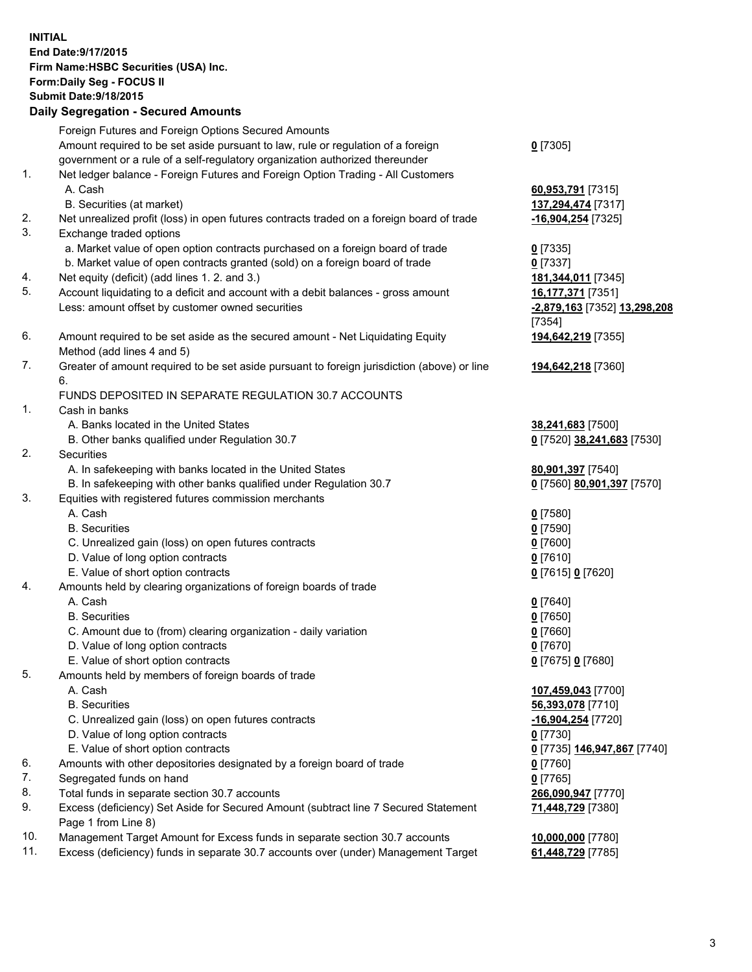**INITIAL End Date:9/17/2015 Firm Name:HSBC Securities (USA) Inc. Form:Daily Seg - FOCUS II Submit Date:9/18/2015 Daily Segregation - Secured Amounts** Foreign Futures and Foreign Options Secured Amounts Amount required to be set aside pursuant to law, rule or regulation of a foreign government or a rule of a self-regulatory organization authorized thereunder **0** [7305] 1. Net ledger balance - Foreign Futures and Foreign Option Trading - All Customers A. Cash **60,953,791** [7315] B. Securities (at market) **137,294,474** [7317] 2. Net unrealized profit (loss) in open futures contracts traded on a foreign board of trade **-16,904,254** [7325] 3. Exchange traded options a. Market value of open option contracts purchased on a foreign board of trade **0** [7335] b. Market value of open contracts granted (sold) on a foreign board of trade **0** [7337] 4. Net equity (deficit) (add lines 1. 2. and 3.) **181,344,011** [7345] 5. Account liquidating to a deficit and account with a debit balances - gross amount **16,177,371** [7351] Less: amount offset by customer owned securities **-2,879,163** [7352] **13,298,208** [7354] 6. Amount required to be set aside as the secured amount - Net Liquidating Equity Method (add lines 4 and 5) **194,642,219** [7355] 7. Greater of amount required to be set aside pursuant to foreign jurisdiction (above) or line 6. **194,642,218** [7360] FUNDS DEPOSITED IN SEPARATE REGULATION 30.7 ACCOUNTS 1. Cash in banks A. Banks located in the United States **38,241,683** [7500] B. Other banks qualified under Regulation 30.7 **0** [7520] **38,241,683** [7530] 2. Securities A. In safekeeping with banks located in the United States **80,901,397** [7540] B. In safekeeping with other banks qualified under Regulation 30.7 **0** [7560] **80,901,397** [7570] 3. Equities with registered futures commission merchants A. Cash **0** [7580] B. Securities **0** [7590] C. Unrealized gain (loss) on open futures contracts **0** [7600] D. Value of long option contracts **0** [7610] E. Value of short option contracts **0** [7615] **0** [7620] 4. Amounts held by clearing organizations of foreign boards of trade A. Cash **0** [7640] B. Securities **0** [7650] C. Amount due to (from) clearing organization - daily variation **0** [7660] D. Value of long option contracts **0** [7670] E. Value of short option contracts **0** [7675] **0** [7680] 5. Amounts held by members of foreign boards of trade A. Cash **107,459,043** [7700] B. Securities **56,393,078** [7710] C. Unrealized gain (loss) on open futures contracts **-16,904,254** [7720] D. Value of long option contracts **0** [7730] E. Value of short option contracts **0** [7735] **146,947,867** [7740] 6. Amounts with other depositories designated by a foreign board of trade **0** [7760] 7. Segregated funds on hand **0** [7765] 8. Total funds in separate section 30.7 accounts **266,090,947** [7770] 9. Excess (deficiency) Set Aside for Secured Amount (subtract line 7 Secured Statement Page 1 from Line 8) **71,448,729** [7380] 10. Management Target Amount for Excess funds in separate section 30.7 accounts **10,000,000** [7780]

11. Excess (deficiency) funds in separate 30.7 accounts over (under) Management Target **61,448,729** [7785]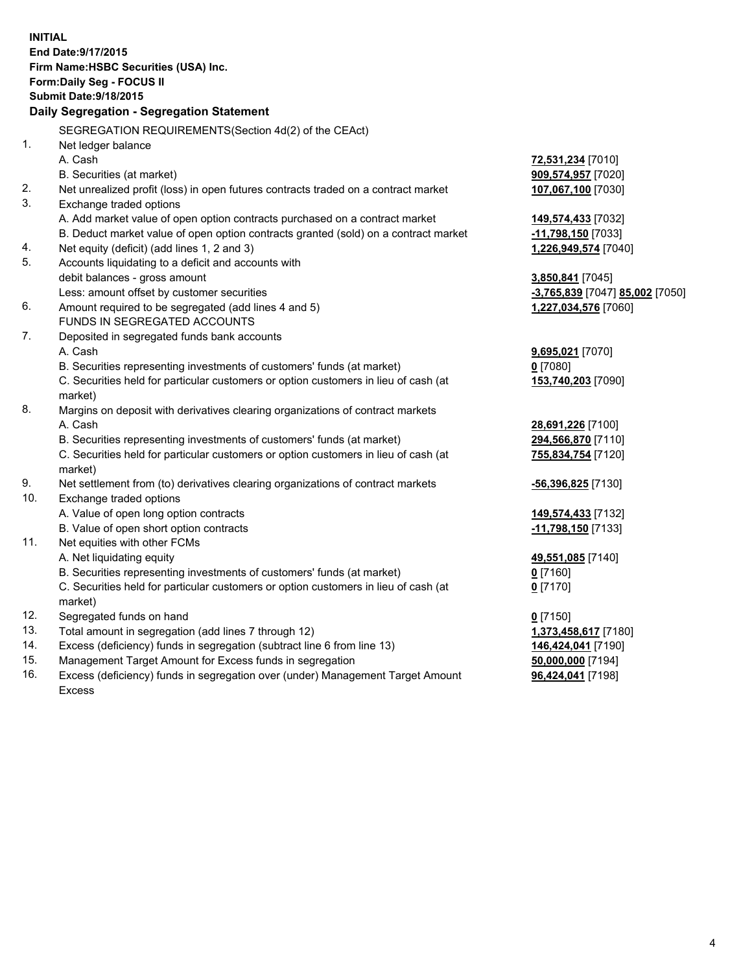| <b>INITIAL</b>                            |                                                                                     |                                 |  |  |
|-------------------------------------------|-------------------------------------------------------------------------------------|---------------------------------|--|--|
| End Date: 9/17/2015                       |                                                                                     |                                 |  |  |
| Firm Name: HSBC Securities (USA) Inc.     |                                                                                     |                                 |  |  |
| Form: Daily Seg - FOCUS II                |                                                                                     |                                 |  |  |
| <b>Submit Date: 9/18/2015</b>             |                                                                                     |                                 |  |  |
| Daily Segregation - Segregation Statement |                                                                                     |                                 |  |  |
|                                           | SEGREGATION REQUIREMENTS(Section 4d(2) of the CEAct)                                |                                 |  |  |
| 1.                                        | Net ledger balance                                                                  |                                 |  |  |
|                                           | A. Cash                                                                             | 72,531,234 [7010]               |  |  |
|                                           | B. Securities (at market)                                                           | 909,574,957 [7020]              |  |  |
| 2.                                        | Net unrealized profit (loss) in open futures contracts traded on a contract market  | 107,067,100 [7030]              |  |  |
| 3.                                        | Exchange traded options                                                             |                                 |  |  |
|                                           | A. Add market value of open option contracts purchased on a contract market         | 149,574,433 [7032]              |  |  |
|                                           | B. Deduct market value of open option contracts granted (sold) on a contract market | -11,798,150 [7033]              |  |  |
| 4.                                        | Net equity (deficit) (add lines 1, 2 and 3)                                         | 1,226,949,574 [7040]            |  |  |
| 5.                                        | Accounts liquidating to a deficit and accounts with                                 |                                 |  |  |
|                                           | debit balances - gross amount                                                       | 3,850,841 [7045]                |  |  |
|                                           | Less: amount offset by customer securities                                          | -3,765,839 [7047] 85,002 [7050] |  |  |
| 6.                                        | Amount required to be segregated (add lines 4 and 5)                                | 1,227,034,576 [7060]            |  |  |
|                                           | FUNDS IN SEGREGATED ACCOUNTS                                                        |                                 |  |  |
| 7.                                        | Deposited in segregated funds bank accounts                                         |                                 |  |  |
|                                           | A. Cash                                                                             | 9,695,021 [7070]                |  |  |
|                                           | B. Securities representing investments of customers' funds (at market)              | $0$ [7080]                      |  |  |
|                                           | C. Securities held for particular customers or option customers in lieu of cash (at | 153,740,203 [7090]              |  |  |
|                                           | market)                                                                             |                                 |  |  |
| 8.                                        | Margins on deposit with derivatives clearing organizations of contract markets      |                                 |  |  |
|                                           | A. Cash                                                                             | 28,691,226 [7100]               |  |  |
|                                           | B. Securities representing investments of customers' funds (at market)              | 294,566,870 [7110]              |  |  |
|                                           | C. Securities held for particular customers or option customers in lieu of cash (at | 755,834,754 [7120]              |  |  |
|                                           | market)                                                                             |                                 |  |  |
| 9.                                        | Net settlement from (to) derivatives clearing organizations of contract markets     | <u>-56,396,825</u> [7130]       |  |  |
| 10.                                       | Exchange traded options                                                             |                                 |  |  |
|                                           | A. Value of open long option contracts                                              | 149,574,433 [7132]              |  |  |
| 11.                                       | B. Value of open short option contracts<br>Net equities with other FCMs             | -11,798,150 [7133]              |  |  |
|                                           | A. Net liquidating equity                                                           |                                 |  |  |
|                                           | B. Securities representing investments of customers' funds (at market)              | 49,551,085 [7140]               |  |  |
|                                           | C. Securities held for particular customers or option customers in lieu of cash (at | 0 [7160]<br>$0$ [7170]          |  |  |
|                                           | market)                                                                             |                                 |  |  |
| 12.                                       | Segregated funds on hand                                                            | $0$ [7150]                      |  |  |
| 13.                                       | Total amount in segregation (add lines 7 through 12)                                | 1,373,458,617 [7180]            |  |  |
| 14.                                       | Excess (deficiency) funds in segregation (subtract line 6 from line 13)             | 146,424,041 [7190]              |  |  |
| 15.                                       | Management Target Amount for Excess funds in segregation                            | 50,000,000 [7194]               |  |  |
| 16.                                       | Excess (deficiency) funds in segregation over (under) Management Target Amount      | 96,424,041 [7198]               |  |  |

16. Excess (deficiency) funds in segregation over (under) Management Target Amount Excess